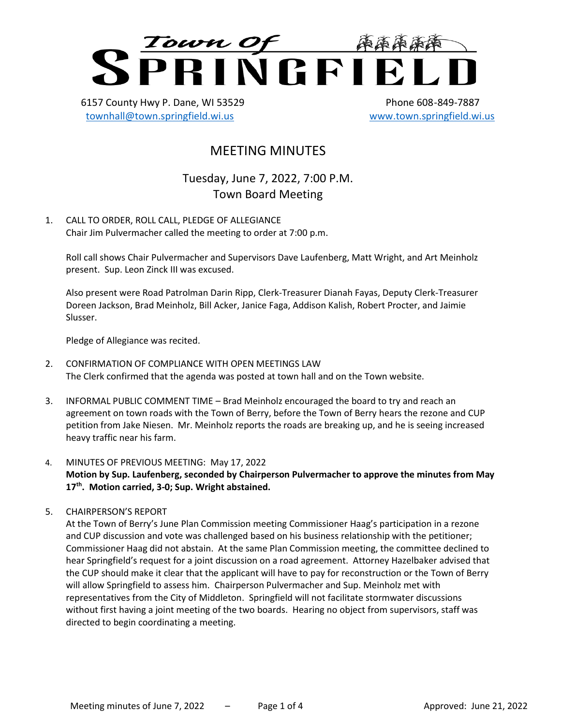

6157 County Hwy P. Dane, WI 53529 Phone 608-849-7887 [townhall@town.springfield.wi.us](mailto:townhall@town.springfield.wi.us) [www.town.springfield.wi.us](http://www.town.springfield.wi.us/)

# MEETING MINUTES

Tuesday, June 7, 2022, 7:00 P.M. Town Board Meeting

1. CALL TO ORDER, ROLL CALL, PLEDGE OF ALLEGIANCE Chair Jim Pulvermacher called the meeting to order at 7:00 p.m.

Roll call shows Chair Pulvermacher and Supervisors Dave Laufenberg, Matt Wright, and Art Meinholz present. Sup. Leon Zinck III was excused.

Also present were Road Patrolman Darin Ripp, Clerk-Treasurer Dianah Fayas, Deputy Clerk-Treasurer Doreen Jackson, Brad Meinholz, Bill Acker, Janice Faga, Addison Kalish, Robert Procter, and Jaimie Slusser.

Pledge of Allegiance was recited.

- 2. CONFIRMATION OF COMPLIANCE WITH OPEN MEETINGS LAW The Clerk confirmed that the agenda was posted at town hall and on the Town website.
- 3. INFORMAL PUBLIC COMMENT TIME Brad Meinholz encouraged the board to try and reach an agreement on town roads with the Town of Berry, before the Town of Berry hears the rezone and CUP petition from Jake Niesen. Mr. Meinholz reports the roads are breaking up, and he is seeing increased heavy traffic near his farm.
- 4. MINUTES OF PREVIOUS MEETING: May 17, 2022 **Motion by Sup. Laufenberg, seconded by Chairperson Pulvermacher to approve the minutes from May 17th . Motion carried, 3-0; Sup. Wright abstained.**
- 5. CHAIRPERSON'S REPORT

At the Town of Berry's June Plan Commission meeting Commissioner Haag's participation in a rezone and CUP discussion and vote was challenged based on his business relationship with the petitioner; Commissioner Haag did not abstain. At the same Plan Commission meeting, the committee declined to hear Springfield's request for a joint discussion on a road agreement. Attorney Hazelbaker advised that the CUP should make it clear that the applicant will have to pay for reconstruction or the Town of Berry will allow Springfield to assess him. Chairperson Pulvermacher and Sup. Meinholz met with representatives from the City of Middleton. Springfield will not facilitate stormwater discussions without first having a joint meeting of the two boards. Hearing no object from supervisors, staff was directed to begin coordinating a meeting.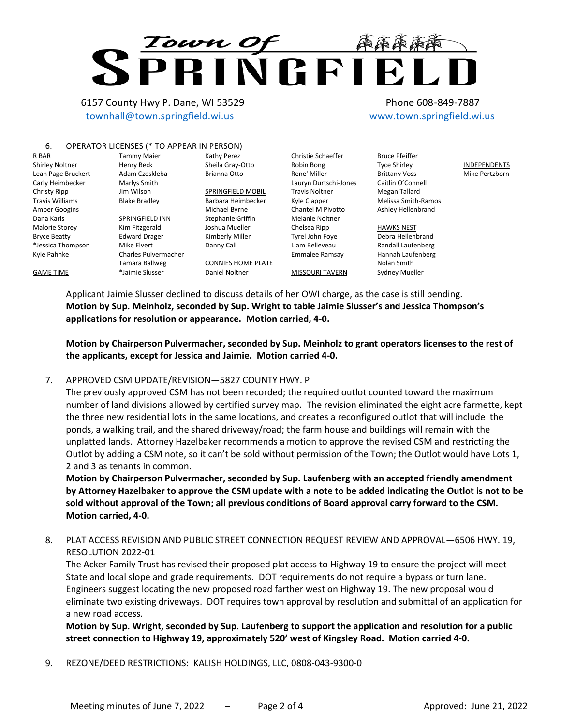# **Town Of FAAA**

6157 County Hwy P. Dane, WI 53529 Phone 608-849-7887 [townhall@town.springfield.wi.us](mailto:townhall@town.springfield.wi.us) [www.town.springfield.wi.us](http://www.town.springfield.wi.us/)

# 6. OPERATOR LICENSES (\* TO APPEAR IN PERSON)

Tamara Ballweg \*Jaimie Slusser

R BAR Shirley Noltner Leah Page Bruckert Carly Heimbecker Christy Ripp Travis Williams Amber Googins Dana Karls Malorie Storey Bryce Beatty \*Jessica Thompson Kyle Pahnke

GAME TIME

Tammy Maier Henry Beck Adam Czeskleba Marlys Smith Jim Wilson Blake Bradley SPRINGFIELD INN Kim Fitzgerald Edward Drager Mike Elvert Charles Pulvermacher

Barbara Heimbecker Michael Byrne Stephanie Griffin Joshua Mueller Kimberly Miller Danny Call

SPRINGFIELD MOBIL

Kathy Perez Sheila Gray-Otto Brianna Otto

CONNIES HOME PLATE Daniel Noltner

Christie Schaeffer Robin Bong Rene' Miller Lauryn Durtschi-Jones Travis Noltner Kyle Clapper Chantel M Pivotto Melanie Noltner Chelsea Ripp Tyrel John Foye Liam Belleveau Emmalee Ramsay

MISSOURI TAVERN

Bruce Pfeiffer Tyce Shirley Brittany Voss Caitlin O'Connell Megan Tallard Melissa Smith-Ramos Ashley Hellenbrand

INDEPENDENTS Mike Pertzborn

HAWKS NEST Debra Hellenbrand Randall Laufenberg Hannah Laufenberg Nolan Smith Sydney Mueller

Applicant Jaimie Slusser declined to discuss details of her OWI charge, as the case is still pending. **Motion by Sup. Meinholz, seconded by Sup. Wright to table Jaimie Slusser's and Jessica Thompson's applications for resolution or appearance. Motion carried, 4-0.**

**Motion by Chairperson Pulvermacher, seconded by Sup. Meinholz to grant operators licenses to the rest of the applicants, except for Jessica and Jaimie. Motion carried 4-0.**

# 7. APPROVED CSM UPDATE/REVISION—5827 COUNTY HWY. P

The previously approved CSM has not been recorded; the required outlot counted toward the maximum number of land divisions allowed by certified survey map. The revision eliminated the eight acre farmette, kept the three new residential lots in the same locations, and creates a reconfigured outlot that will include the ponds, a walking trail, and the shared driveway/road; the farm house and buildings will remain with the unplatted lands. Attorney Hazelbaker recommends a motion to approve the revised CSM and restricting the Outlot by adding a CSM note, so it can't be sold without permission of the Town; the Outlot would have Lots 1, 2 and 3 as tenants in common.

**Motion by Chairperson Pulvermacher, seconded by Sup. Laufenberg with an accepted friendly amendment by Attorney Hazelbaker to approve the CSM update with a note to be added indicating the Outlot is not to be sold without approval of the Town; all previous conditions of Board approval carry forward to the CSM. Motion carried, 4-0.**

8. PLAT ACCESS REVISION AND PUBLIC STREET CONNECTION REQUEST REVIEW AND APPROVAL—6506 HWY. 19, RESOLUTION 2022-01

The Acker Family Trust has revised their proposed plat access to Highway 19 to ensure the project will meet State and local slope and grade requirements. DOT requirements do not require a bypass or turn lane. Engineers suggest locating the new proposed road farther west on Highway 19. The new proposal would eliminate two existing driveways. DOT requires town approval by resolution and submittal of an application for a new road access.

**Motion by Sup. Wright, seconded by Sup. Laufenberg to support the application and resolution for a public street connection to Highway 19, approximately 520' west of Kingsley Road. Motion carried 4-0.**

9. REZONE/DEED RESTRICTIONS: KALISH HOLDINGS, LLC, 0808-043-9300-0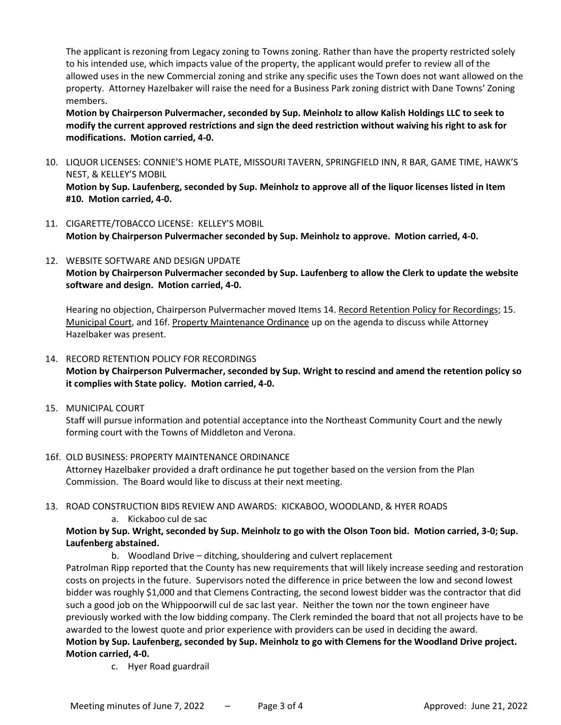The applicant is rezoning from Legacy zoning to Towns zoning. Rather than have the property restricted solely to his intended use, which impacts value of the property, the applicant would prefer to review all of the allowed uses in the new Commercial zoning and strike any specific uses the Town does not want allowed on the property. Attorney Hazelbaker will raise the need for a Business Park zoning district with Dane Towns' Zoning members.

**Motion by Chairperson Pulvermacher, seconded by Sup. Meinholz to allow Kalish Holdings LLC to seek to modify the current approved restrictions and sign the deed restriction without waiving his right to ask for modifications. Motion carried, 4-0.**

10. LIQUOR LICENSES: CONNIE'S HOME PLATE, MISSOURI TAVERN, SPRINGFIELD INN, R BAR, GAME TIME, HAWK'S NEST, & KELLEY'S MOBIL

**Motion by Sup. Laufenberg, seconded by Sup. Meinholz to approve all of the liquor licenses listed in Item #10. Motion carried, 4-0.**

- 11. CIGARETTE/TOBACCO LICENSE: KELLEY'S MOBIL **Motion by Chairperson Pulvermacher seconded by Sup. Meinholz to approve. Motion carried, 4-0.**
- 12. WEBSITE SOFTWARE AND DESIGN UPDATE

**Motion by Chairperson Pulvermacher seconded by Sup. Laufenberg to allow the Clerk to update the website software and design. Motion carried, 4-0.**

Hearing no objection, Chairperson Pulvermacher moved Items 14. Record Retention Policy for Recordings; 15. Municipal Court, and 16f. Property Maintenance Ordinance up on the agenda to discuss while Attorney Hazelbaker was present.

# 14. RECORD RETENTION POLICY FOR RECORDINGS **Motion by Chairperson Pulvermacher, seconded by Sup. Wright to rescind and amend the retention policy so it complies with State policy. Motion carried, 4-0.**

15. MUNICIPAL COURT

Staff will pursue information and potential acceptance into the Northeast Community Court and the newly forming court with the Towns of Middleton and Verona.

16f. OLD BUSINESS: PROPERTY MAINTENANCE ORDINANCE

Attorney Hazelbaker provided a draft ordinance he put together based on the version from the Plan Commission. The Board would like to discuss at their next meeting.

- 13. ROAD CONSTRUCTION BIDS REVIEW AND AWARDS: KICKABOO, WOODLAND, & HYER ROADS
	- a. Kickaboo cul de sac

# **Motion by Sup. Wright, seconded by Sup. Meinholz to go with the Olson Toon bid. Motion carried, 3-0; Sup. Laufenberg abstained.**

b. Woodland Drive – ditching, shouldering and culvert replacement

Patrolman Ripp reported that the County has new requirements that will likely increase seeding and restoration costs on projects in the future. Supervisors noted the difference in price between the low and second lowest bidder was roughly \$1,000 and that Clemens Contracting, the second lowest bidder was the contractor that did such a good job on the Whippoorwill cul de sac last year. Neither the town nor the town engineer have previously worked with the low bidding company. The Clerk reminded the board that not all projects have to be awarded to the lowest quote and prior experience with providers can be used in deciding the award. **Motion by Sup. Laufenberg, seconded by Sup. Meinholz to go with Clemens for the Woodland Drive project. Motion carried, 4-0.**

c. Hyer Road guardrail